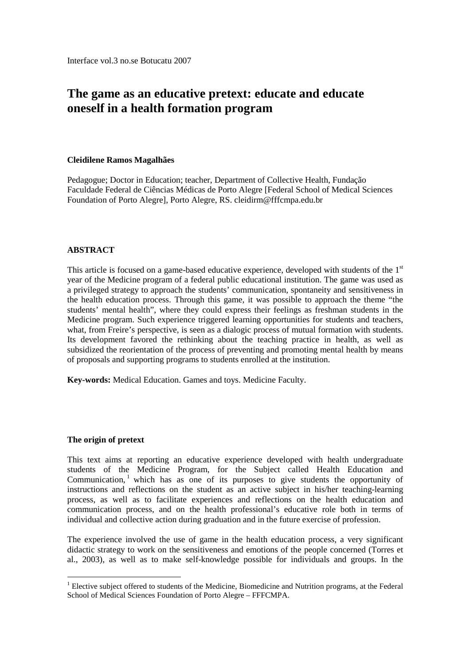# **The game as an educative pretext: educate and educate oneself in a health formation program**

#### **Cleidilene Ramos Magalhães**

Pedagogue; Doctor in Education; teacher, Department of Collective Health, Fundação Faculdade Federal de Ciências Médicas de Porto Alegre [Federal School of Medical Sciences Foundation of Porto Alegre], Porto Alegre, RS. cleidirm@fffcmpa.edu.br

## **ABSTRACT**

This article is focused on a game-based educative experience, developed with students of the  $1<sup>st</sup>$ year of the Medicine program of a federal public educational institution. The game was used as a privileged strategy to approach the students' communication, spontaneity and sensitiveness in the health education process. Through this game, it was possible to approach the theme "the students' mental health", where they could express their feelings as freshman students in the Medicine program. Such experience triggered learning opportunities for students and teachers, what, from Freire's perspective, is seen as a dialogic process of mutual formation with students. Its development favored the rethinking about the teaching practice in health, as well as subsidized the reorientation of the process of preventing and promoting mental health by means of proposals and supporting programs to students enrolled at the institution.

**Key-words:** Medical Education. Games and toys. Medicine Faculty.

## **The origin of pretext**

 $\overline{a}$ 

This text aims at reporting an educative experience developed with health undergraduate students of the Medicine Program, for the Subject called Health Education and Communication, $1$  which has as one of its purposes to give students the opportunity of instructions and reflections on the student as an active subject in his/her teaching-learning process, as well as to facilitate experiences and reflections on the health education and communication process, and on the health professional's educative role both in terms of individual and collective action during graduation and in the future exercise of profession.

The experience involved the use of game in the health education process, a very significant didactic strategy to work on the sensitiveness and emotions of the people concerned (Torres et al., 2003), as well as to make self-knowledge possible for individuals and groups. In the

<sup>&</sup>lt;sup>1</sup> Elective subject offered to students of the Medicine, Biomedicine and Nutrition programs, at the Federal School of Medical Sciences Foundation of Porto Alegre – FFFCMPA.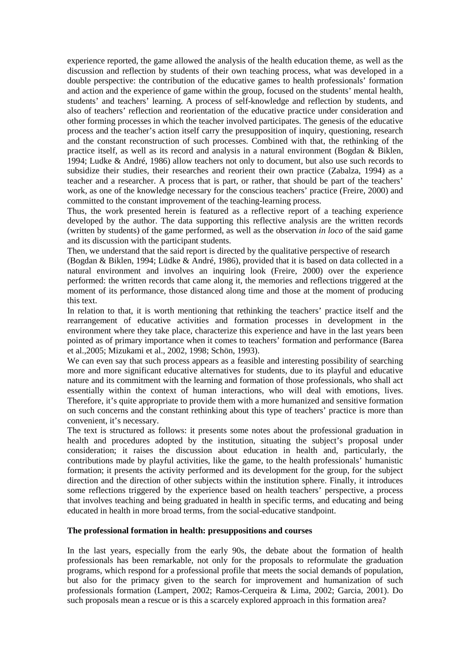experience reported, the game allowed the analysis of the health education theme, as well as the discussion and reflection by students of their own teaching process, what was developed in a double perspective: the contribution of the educative games to health professionals' formation and action and the experience of game within the group, focused on the students' mental health, students' and teachers' learning. A process of self-knowledge and reflection by students, and also of teachers' reflection and reorientation of the educative practice under consideration and other forming processes in which the teacher involved participates. The genesis of the educative process and the teacher's action itself carry the presupposition of inquiry, questioning, research and the constant reconstruction of such processes. Combined with that, the rethinking of the practice itself, as well as its record and analysis in a natural environment (Bogdan & Biklen, 1994; Ludke & André, 1986) allow teachers not only to document, but also use such records to subsidize their studies, their researches and reorient their own practice (Zabalza, 1994) as a teacher and a researcher. A process that is part, or rather, that should be part of the teachers' work, as one of the knowledge necessary for the conscious teachers' practice (Freire, 2000) and committed to the constant improvement of the teaching-learning process.

Thus, the work presented herein is featured as a reflective report of a teaching experience developed by the author. The data supporting this reflective analysis are the written records (written by students) of the game performed, as well as the observation *in loco* of the said game and its discussion with the participant students.

Then, we understand that the said report is directed by the qualitative perspective of research

(Bogdan & Biklen, 1994; Lüdke & André, 1986), provided that it is based on data collected in a natural environment and involves an inquiring look (Freire, 2000) over the experience performed: the written records that came along it, the memories and reflections triggered at the moment of its performance, those distanced along time and those at the moment of producing this text.

In relation to that, it is worth mentioning that rethinking the teachers' practice itself and the rearrangement of educative activities and formation processes in development in the environment where they take place, characterize this experience and have in the last years been pointed as of primary importance when it comes to teachers' formation and performance (Barea et al.,2005; Mizukami et al., 2002, 1998; Schön, 1993).

We can even say that such process appears as a feasible and interesting possibility of searching more and more significant educative alternatives for students, due to its playful and educative nature and its commitment with the learning and formation of those professionals, who shall act essentially within the context of human interactions, who will deal with emotions, lives. Therefore, it's quite appropriate to provide them with a more humanized and sensitive formation on such concerns and the constant rethinking about this type of teachers' practice is more than convenient, it's necessary.

The text is structured as follows: it presents some notes about the professional graduation in health and procedures adopted by the institution, situating the subject's proposal under consideration; it raises the discussion about education in health and, particularly, the contributions made by playful activities, like the game, to the health professionals' humanistic formation; it presents the activity performed and its development for the group, for the subject direction and the direction of other subjects within the institution sphere. Finally, it introduces some reflections triggered by the experience based on health teachers' perspective, a process that involves teaching and being graduated in health in specific terms, and educating and being educated in health in more broad terms, from the social-educative standpoint.

#### **The professional formation in health: presuppositions and courses**

In the last years, especially from the early 90s, the debate about the formation of health professionals has been remarkable, not only for the proposals to reformulate the graduation programs, which respond for a professional profile that meets the social demands of population, but also for the primacy given to the search for improvement and humanization of such professionals formation (Lampert, 2002; Ramos-Cerqueira & Lima, 2002; Garcia, 2001). Do such proposals mean a rescue or is this a scarcely explored approach in this formation area?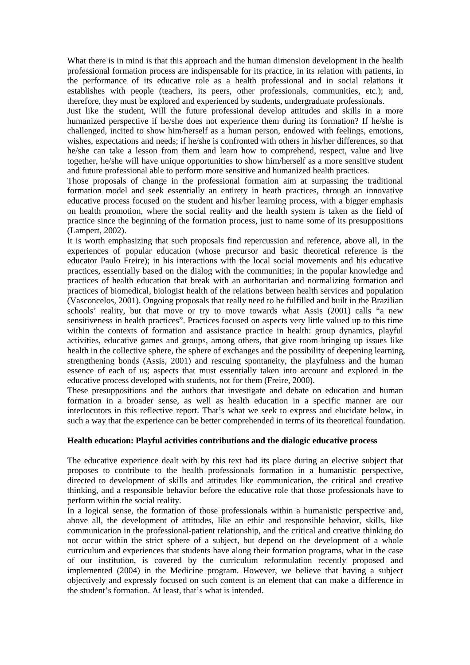What there is in mind is that this approach and the human dimension development in the health professional formation process are indispensable for its practice, in its relation with patients, in the performance of its educative role as a health professional and in social relations it establishes with people (teachers, its peers, other professionals, communities, etc.); and, therefore, they must be explored and experienced by students, undergraduate professionals.

Just like the student, Will the future professional develop attitudes and skills in a more humanized perspective if he/she does not experience them during its formation? If he/she is challenged, incited to show him/herself as a human person, endowed with feelings, emotions, wishes, expectations and needs; if he/she is confronted with others in his/her differences, so that he/she can take a lesson from them and learn how to comprehend, respect, value and live together, he/she will have unique opportunities to show him/herself as a more sensitive student and future professional able to perform more sensitive and humanized health practices.

Those proposals of change in the professional formation aim at surpassing the traditional formation model and seek essentially an entirety in heath practices, through an innovative educative process focused on the student and his/her learning process, with a bigger emphasis on health promotion, where the social reality and the health system is taken as the field of practice since the beginning of the formation process, just to name some of its presuppositions (Lampert, 2002).

It is worth emphasizing that such proposals find repercussion and reference, above all, in the experiences of popular education (whose precursor and basic theoretical reference is the educator Paulo Freire); in his interactions with the local social movements and his educative practices, essentially based on the dialog with the communities; in the popular knowledge and practices of health education that break with an authoritarian and normalizing formation and practices of biomedical, biologist health of the relations between health services and population (Vasconcelos, 2001). Ongoing proposals that really need to be fulfilled and built in the Brazilian schools' reality, but that move or try to move towards what Assis (2001) calls "a new sensitiveness in health practices". Practices focused on aspects very little valued up to this time within the contexts of formation and assistance practice in health: group dynamics, playful activities, educative games and groups, among others, that give room bringing up issues like health in the collective sphere, the sphere of exchanges and the possibility of deepening learning, strengthening bonds (Assis, 2001) and rescuing spontaneity, the playfulness and the human essence of each of us; aspects that must essentially taken into account and explored in the educative process developed with students, not for them (Freire, 2000).

These presuppositions and the authors that investigate and debate on education and human formation in a broader sense, as well as health education in a specific manner are our interlocutors in this reflective report. That's what we seek to express and elucidate below, in such a way that the experience can be better comprehended in terms of its theoretical foundation.

### **Health education: Playful activities contributions and the dialogic educative process**

The educative experience dealt with by this text had its place during an elective subject that proposes to contribute to the health professionals formation in a humanistic perspective, directed to development of skills and attitudes like communication, the critical and creative thinking, and a responsible behavior before the educative role that those professionals have to perform within the social reality.

In a logical sense, the formation of those professionals within a humanistic perspective and, above all, the development of attitudes, like an ethic and responsible behavior, skills, like communication in the professional-patient relationship, and the critical and creative thinking do not occur within the strict sphere of a subject, but depend on the development of a whole curriculum and experiences that students have along their formation programs, what in the case of our institution, is covered by the curriculum reformulation recently proposed and implemented (2004) in the Medicine program. However, we believe that having a subject objectively and expressly focused on such content is an element that can make a difference in the student's formation. At least, that's what is intended.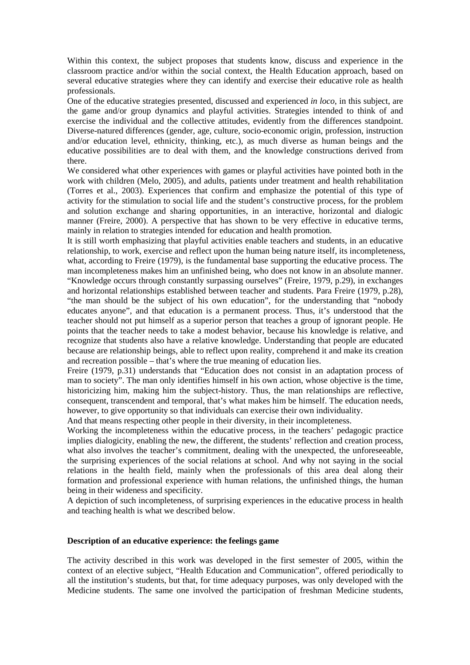Within this context, the subject proposes that students know, discuss and experience in the classroom practice and/or within the social context, the Health Education approach, based on several educative strategies where they can identify and exercise their educative role as health professionals.

One of the educative strategies presented, discussed and experienced *in loco*, in this subject, are the game and/or group dynamics and playful activities. Strategies intended to think of and exercise the individual and the collective attitudes, evidently from the differences standpoint. Diverse-natured differences (gender, age, culture, socio-economic origin, profession, instruction and/or education level, ethnicity, thinking, etc.), as much diverse as human beings and the educative possibilities are to deal with them, and the knowledge constructions derived from there.

We considered what other experiences with games or playful activities have pointed both in the work with children (Melo, 2005), and adults, patients under treatment and health rehabilitation (Torres et al., 2003). Experiences that confirm and emphasize the potential of this type of activity for the stimulation to social life and the student's constructive process, for the problem and solution exchange and sharing opportunities, in an interactive, horizontal and dialogic manner (Freire, 2000). A perspective that has shown to be very effective in educative terms, mainly in relation to strategies intended for education and health promotion.

It is still worth emphasizing that playful activities enable teachers and students, in an educative relationship, to work, exercise and reflect upon the human being nature itself, its incompleteness, what, according to Freire (1979), is the fundamental base supporting the educative process. The man incompleteness makes him an unfinished being, who does not know in an absolute manner. "Knowledge occurs through constantly surpassing ourselves" (Freire, 1979, p.29), in exchanges and horizontal relationships established between teacher and students. Para Freire (1979, p.28), "the man should be the subject of his own education", for the understanding that "nobody educates anyone", and that education is a permanent process. Thus, it's understood that the teacher should not put himself as a superior person that teaches a group of ignorant people. He points that the teacher needs to take a modest behavior, because his knowledge is relative, and recognize that students also have a relative knowledge. Understanding that people are educated because are relationship beings, able to reflect upon reality, comprehend it and make its creation and recreation possible – that's where the true meaning of education lies.

Freire (1979, p.31) understands that "Education does not consist in an adaptation process of man to society". The man only identifies himself in his own action, whose objective is the time, historicizing him, making him the subject-history. Thus, the man relationships are reflective, consequent, transcendent and temporal, that's what makes him be himself. The education needs, however, to give opportunity so that individuals can exercise their own individuality.

And that means respecting other people in their diversity, in their incompleteness.

Working the incompleteness within the educative process, in the teachers' pedagogic practice implies dialogicity, enabling the new, the different, the students' reflection and creation process, what also involves the teacher's commitment, dealing with the unexpected, the unforeseeable, the surprising experiences of the social relations at school. And why not saying in the social relations in the health field, mainly when the professionals of this area deal along their formation and professional experience with human relations, the unfinished things, the human being in their wideness and specificity.

A depiction of such incompleteness, of surprising experiences in the educative process in health and teaching health is what we described below.

#### **Description of an educative experience: the feelings game**

The activity described in this work was developed in the first semester of 2005, within the context of an elective subject, "Health Education and Communication", offered periodically to all the institution's students, but that, for time adequacy purposes, was only developed with the Medicine students. The same one involved the participation of freshman Medicine students,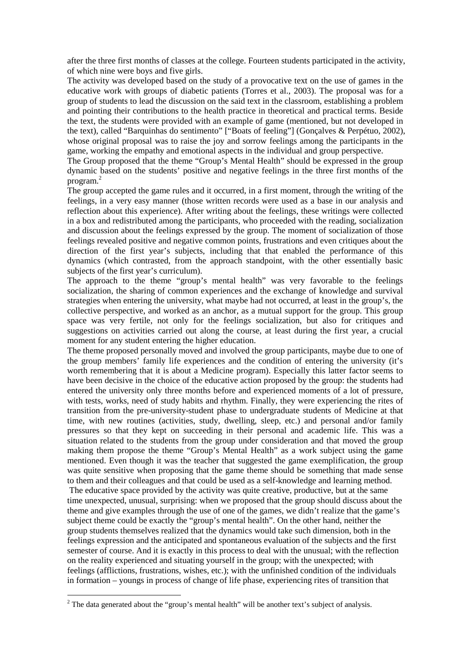after the three first months of classes at the college. Fourteen students participated in the activity, of which nine were boys and five girls.

The activity was developed based on the study of a provocative text on the use of games in the educative work with groups of diabetic patients (Torres et al., 2003). The proposal was for a group of students to lead the discussion on the said text in the classroom, establishing a problem and pointing their contributions to the health practice in theoretical and practical terms. Beside the text, the students were provided with an example of game (mentioned, but not developed in the text), called "Barquinhas do sentimento" ["Boats of feeling"] (Gonçalves & Perpétuo, 2002), whose original proposal was to raise the joy and sorrow feelings among the participants in the game, working the empathy and emotional aspects in the individual and group perspective.

The Group proposed that the theme "Group's Mental Health" should be expressed in the group dynamic based on the students' positive and negative feelings in the three first months of the program.<sup>2</sup>

The group accepted the game rules and it occurred, in a first moment, through the writing of the feelings, in a very easy manner (those written records were used as a base in our analysis and reflection about this experience). After writing about the feelings, these writings were collected in a box and redistributed among the participants, who proceeded with the reading, socialization and discussion about the feelings expressed by the group. The moment of socialization of those feelings revealed positive and negative common points, frustrations and even critiques about the direction of the first year's subjects, including that that enabled the performance of this dynamics (which contrasted, from the approach standpoint, with the other essentially basic subjects of the first year's curriculum).

The approach to the theme "group's mental health" was very favorable to the feelings socialization, the sharing of common experiences and the exchange of knowledge and survival strategies when entering the university, what maybe had not occurred, at least in the group's, the collective perspective, and worked as an anchor, as a mutual support for the group. This group space was very fertile, not only for the feelings socialization, but also for critiques and suggestions on activities carried out along the course, at least during the first year, a crucial moment for any student entering the higher education.

The theme proposed personally moved and involved the group participants, maybe due to one of the group members' family life experiences and the condition of entering the university (it's worth remembering that it is about a Medicine program). Especially this latter factor seems to have been decisive in the choice of the educative action proposed by the group: the students had entered the university only three months before and experienced moments of a lot of pressure, with tests, works, need of study habits and rhythm. Finally, they were experiencing the rites of transition from the pre-university-student phase to undergraduate students of Medicine at that time, with new routines (activities, study, dwelling, sleep, etc.) and personal and/or family pressures so that they kept on succeeding in their personal and academic life. This was a situation related to the students from the group under consideration and that moved the group making them propose the theme "Group's Mental Health" as a work subject using the game mentioned. Even though it was the teacher that suggested the game exemplification, the group was quite sensitive when proposing that the game theme should be something that made sense to them and their colleagues and that could be used as a self-knowledge and learning method.

 The educative space provided by the activity was quite creative, productive, but at the same time unexpected, unusual, surprising: when we proposed that the group should discuss about the theme and give examples through the use of one of the games, we didn't realize that the game's subject theme could be exactly the "group's mental health". On the other hand, neither the group students themselves realized that the dynamics would take such dimension, both in the feelings expression and the anticipated and spontaneous evaluation of the subjects and the first semester of course. And it is exactly in this process to deal with the unusual; with the reflection on the reality experienced and situating yourself in the group; with the unexpected; with feelings (afflictions, frustrations, wishes, etc.); with the unfinished condition of the individuals in formation – youngs in process of change of life phase, experiencing rites of transition that

<sup>&</sup>lt;sup>2</sup> The data generated about the "group's mental health" will be another text's subject of analysis.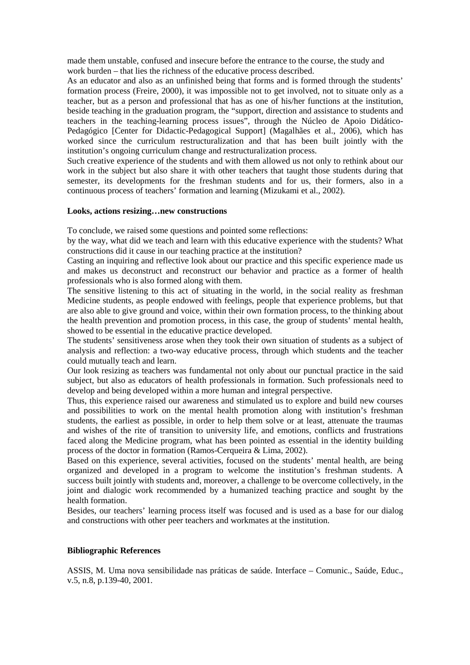made them unstable, confused and insecure before the entrance to the course, the study and work burden – that lies the richness of the educative process described.

As an educator and also as an unfinished being that forms and is formed through the students' formation process (Freire, 2000), it was impossible not to get involved, not to situate only as a teacher, but as a person and professional that has as one of his/her functions at the institution, beside teaching in the graduation program, the "support, direction and assistance to students and teachers in the teaching-learning process issues", through the Núcleo de Apoio Didático-Pedagógico [Center for Didactic-Pedagogical Support] (Magalhães et al., 2006), which has worked since the curriculum restructuralization and that has been built jointly with the institution's ongoing curriculum change and restructuralization process.

Such creative experience of the students and with them allowed us not only to rethink about our work in the subject but also share it with other teachers that taught those students during that semester, its developments for the freshman students and for us, their formers, also in a continuous process of teachers' formation and learning (Mizukami et al., 2002).

#### **Looks, actions resizing…new constructions**

To conclude, we raised some questions and pointed some reflections:

by the way, what did we teach and learn with this educative experience with the students? What constructions did it cause in our teaching practice at the institution?

Casting an inquiring and reflective look about our practice and this specific experience made us and makes us deconstruct and reconstruct our behavior and practice as a former of health professionals who is also formed along with them.

The sensitive listening to this act of situating in the world, in the social reality as freshman Medicine students, as people endowed with feelings, people that experience problems, but that are also able to give ground and voice, within their own formation process, to the thinking about the health prevention and promotion process, in this case, the group of students' mental health, showed to be essential in the educative practice developed.

The students' sensitiveness arose when they took their own situation of students as a subject of analysis and reflection: a two-way educative process, through which students and the teacher could mutually teach and learn.

Our look resizing as teachers was fundamental not only about our punctual practice in the said subject, but also as educators of health professionals in formation. Such professionals need to develop and being developed within a more human and integral perspective.

Thus, this experience raised our awareness and stimulated us to explore and build new courses and possibilities to work on the mental health promotion along with institution's freshman students, the earliest as possible, in order to help them solve or at least, attenuate the traumas and wishes of the rite of transition to university life, and emotions, conflicts and frustrations faced along the Medicine program, what has been pointed as essential in the identity building process of the doctor in formation (Ramos-Cerqueira & Lima, 2002).

Based on this experience, several activities, focused on the students' mental health, are being organized and developed in a program to welcome the institution's freshman students. A success built jointly with students and, moreover, a challenge to be overcome collectively, in the joint and dialogic work recommended by a humanized teaching practice and sought by the health formation.

Besides, our teachers' learning process itself was focused and is used as a base for our dialog and constructions with other peer teachers and workmates at the institution.

#### **Bibliographic References**

ASSIS, M. Uma nova sensibilidade nas práticas de saúde. Interface – Comunic., Saúde, Educ., v.5, n.8, p.139-40, 2001.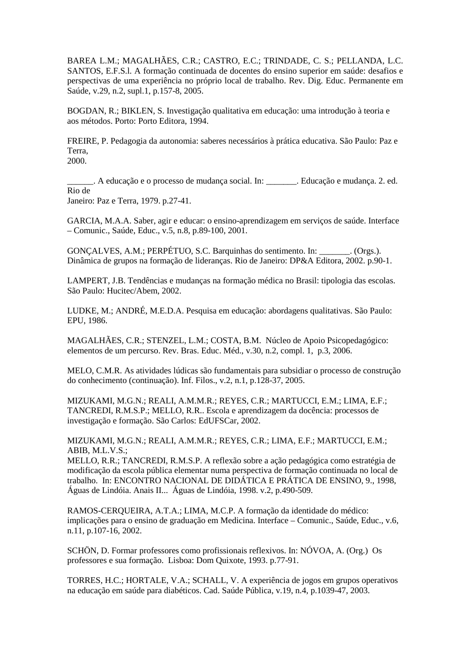BAREA L.M.; MAGALHÃES, C.R.; CASTRO, E.C.; TRINDADE, C. S.; PELLANDA, L.C. SANTOS, E.F.S.l. A formação continuada de docentes do ensino superior em saúde: desafios e perspectivas de uma experiência no próprio local de trabalho. Rev. Dig. Educ. Permanente em Saúde, v.29, n.2, supl.1, p.157-8, 2005.

BOGDAN, R.; BIKLEN, S. Investigação qualitativa em educação: uma introdução à teoria e aos métodos. Porto: Porto Editora, 1994.

FREIRE, P. Pedagogia da autonomia: saberes necessários à prática educativa. São Paulo: Paz e Terra, 2000.

\_\_\_\_\_\_. A educação e o processo de mudança social. In: \_\_\_\_\_\_\_. Educação e mudança. 2. ed. Rio de

Janeiro: Paz e Terra, 1979. p.27-41.

GARCIA, M.A.A. Saber, agir e educar: o ensino-aprendizagem em serviços de saúde. Interface – Comunic., Saúde, Educ., v.5, n.8, p.89-100, 2001.

GONCALVES, A.M.; PERPÉTUO, S.C. Barquinhas do sentimento. In: (Orgs.). Dinâmica de grupos na formação de lideranças. Rio de Janeiro: DP&A Editora, 2002. p.90-1.

LAMPERT, J.B. Tendências e mudanças na formação médica no Brasil: tipologia das escolas. São Paulo: Hucitec/Abem, 2002.

LUDKE, M.; ANDRÉ, M.E.D.A. Pesquisa em educação: abordagens qualitativas. São Paulo: EPU, 1986.

MAGALHÃES, C.R.; STENZEL, L.M.; COSTA, B.M. Núcleo de Apoio Psicopedagógico: elementos de um percurso. Rev. Bras. Educ. Méd., v.30, n.2, compl. 1, p.3, 2006.

MELO, C.M.R. As atividades lúdicas são fundamentais para subsidiar o processo de construção do conhecimento (continuação). Inf. Filos., v.2, n.1, p.128-37, 2005.

MIZUKAMI, M.G.N.; REALI, A.M.M.R.; REYES, C.R.; MARTUCCI, E.M.; LIMA, E.F.; TANCREDI, R.M.S.P.; MELLO, R.R.. Escola e aprendizagem da docência: processos de investigação e formação. São Carlos: EdUFSCar, 2002.

MIZUKAMI, M.G.N.; REALI, A.M.M.R.; REYES, C.R.; LIMA, E.F.; MARTUCCI, E.M.; ABIB, M.L.V.S.;

MELLO, R.R.; TANCREDI, R.M.S.P. A reflexão sobre a ação pedagógica como estratégia de modificação da escola pública elementar numa perspectiva de formação continuada no local de trabalho. In: ENCONTRO NACIONAL DE DIDÁTICA E PRÁTICA DE ENSINO, 9., 1998, Águas de Lindóia. Anais II... Águas de Lindóia, 1998. v.2, p.490-509.

RAMOS-CERQUEIRA, A.T.A.; LIMA, M.C.P. A formação da identidade do médico: implicações para o ensino de graduação em Medicina. Interface – Comunic., Saúde, Educ., v.6, n.11, p.107-16, 2002.

SCHÖN, D. Formar professores como profissionais reflexivos. In: NÓVOA, A. (Org.) Os professores e sua formação. Lisboa: Dom Quixote, 1993. p.77-91.

TORRES, H.C.; HORTALE, V.A.; SCHALL, V. A experiência de jogos em grupos operativos na educação em saúde para diabéticos. Cad. Saúde Pública, v.19, n.4, p.1039-47, 2003.